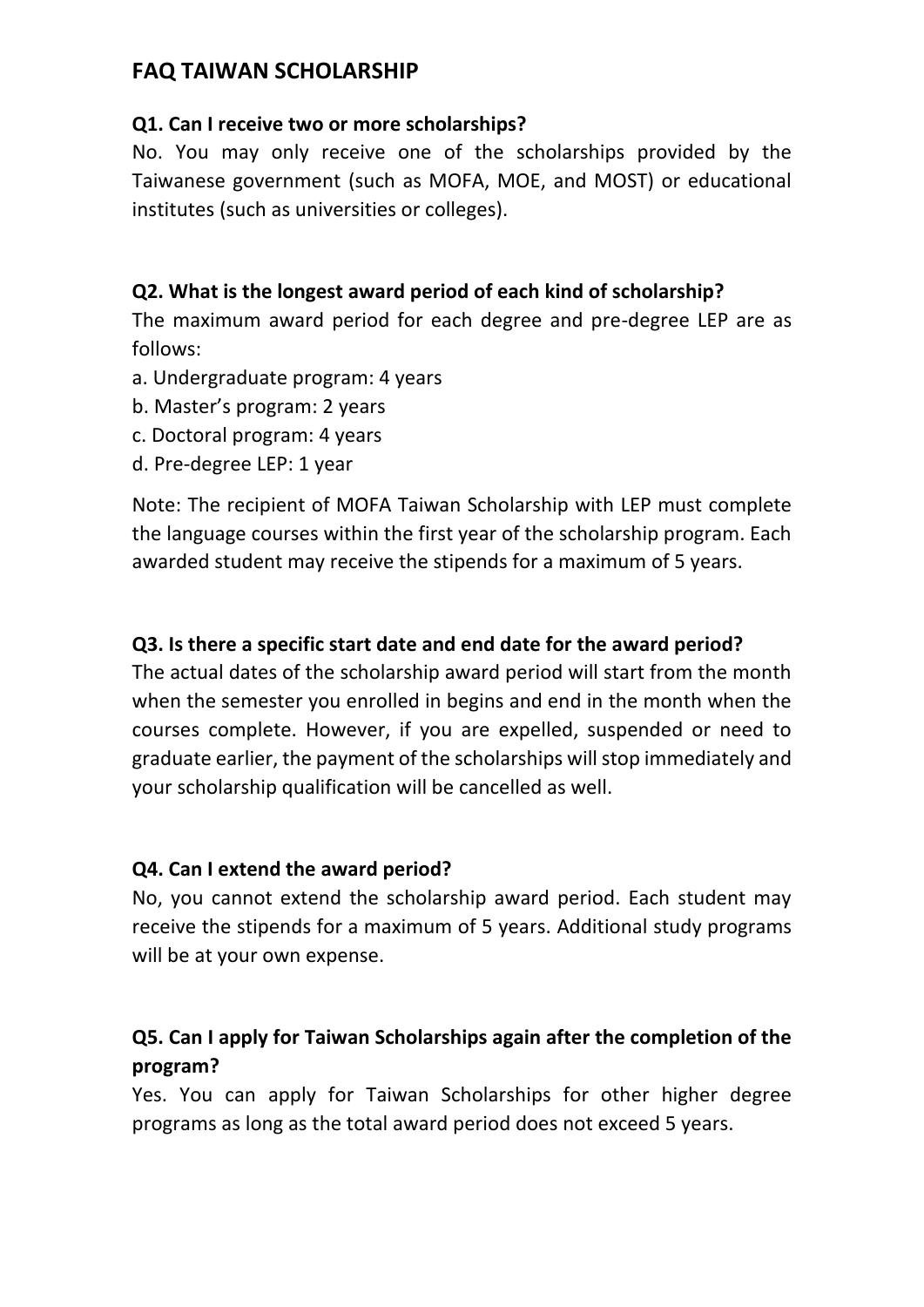## **FAQ TAIWAN SCHOLARSHIP**

#### **Q1. Can I receive two or more scholarships?**

No. You may only receive one of the scholarships provided by the Taiwanese government (such as MOFA, MOE, and MOST) or educational institutes (such as universities or colleges).

### **Q2. What is the longest award period of each kind of scholarship?**

The maximum award period for each degree and pre-degree LEP are as follows:

- a. Undergraduate program: 4 years
- b. Master's program: 2 years
- c. Doctoral program: 4 years
- d. Pre-degree LEP: 1 year

Note: The recipient of MOFA Taiwan Scholarship with LEP must complete the language courses within the first year of the scholarship program. Each awarded student may receive the stipends for a maximum of 5 years.

#### **Q3. Is there a specific start date and end date for the award period?**

The actual dates of the scholarship award period will start from the month when the semester you enrolled in begins and end in the month when the courses complete. However, if you are expelled, suspended or need to graduate earlier, the payment of the scholarships will stop immediately and your scholarship qualification will be cancelled as well.

#### **Q4. Can I extend the award period?**

No, you cannot extend the scholarship award period. Each student may receive the stipends for a maximum of 5 years. Additional study programs will be at your own expense.

### **Q5. Can I apply for Taiwan Scholarships again after the completion of the program?**

Yes. You can apply for Taiwan Scholarships for other higher degree programs as long as the total award period does not exceed 5 years.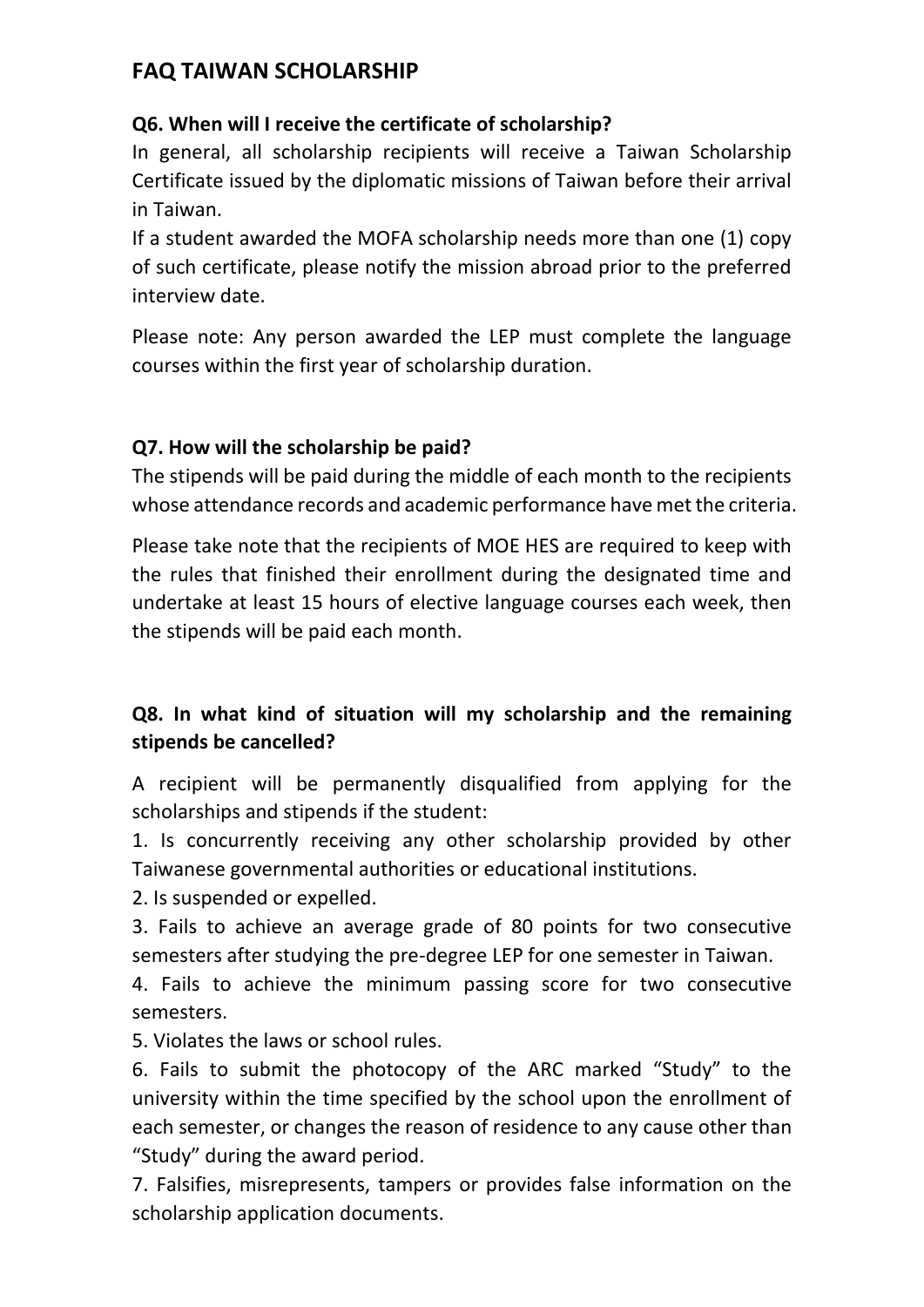# **FAQ TAIWAN SCHOLARSHIP**

#### **Q6. When will I receive the certificate of scholarship?**

In general, all scholarship recipients will receive a Taiwan Scholarship Certificate issued by the diplomatic missions of Taiwan before their arrival in Taiwan.

If a student awarded the MOFA scholarship needs more than one (1) copy of such certificate, please notify the mission abroad prior to the preferred interview date.

Please note: Any person awarded the LEP must complete the language courses within the first year of scholarship duration.

#### **Q7. How will the scholarship be paid?**

The stipends will be paid during the middle of each month to the recipients whose attendance records and academic performance have met the criteria.

Please take note that the recipients of MOE HES are required to keep with the rules that finished their enrollment during the designated time and undertake at least 15 hours of elective language courses each week, then the stipends will be paid each month.

# **Q8. In what kind of situation will my scholarship and the remaining stipends be cancelled?**

A recipient will be permanently disqualified from applying for the scholarships and stipends if the student:

1. Is concurrently receiving any other scholarship provided by other Taiwanese governmental authorities or educational institutions.

2. Is suspended or expelled.

3. Fails to achieve an average grade of 80 points for two consecutive semesters after studying the pre-degree LEP for one semester in Taiwan.

4. Fails to achieve the minimum passing score for two consecutive semesters.

5. Violates the laws or school rules.

6. Fails to submit the photocopy of the ARC marked "Study" to the university within the time specified by the school upon the enrollment of each semester, or changes the reason of residence to any cause other than "Study" during the award period.

7. Falsifies, misrepresents, tampers or provides false information on the scholarship application documents.